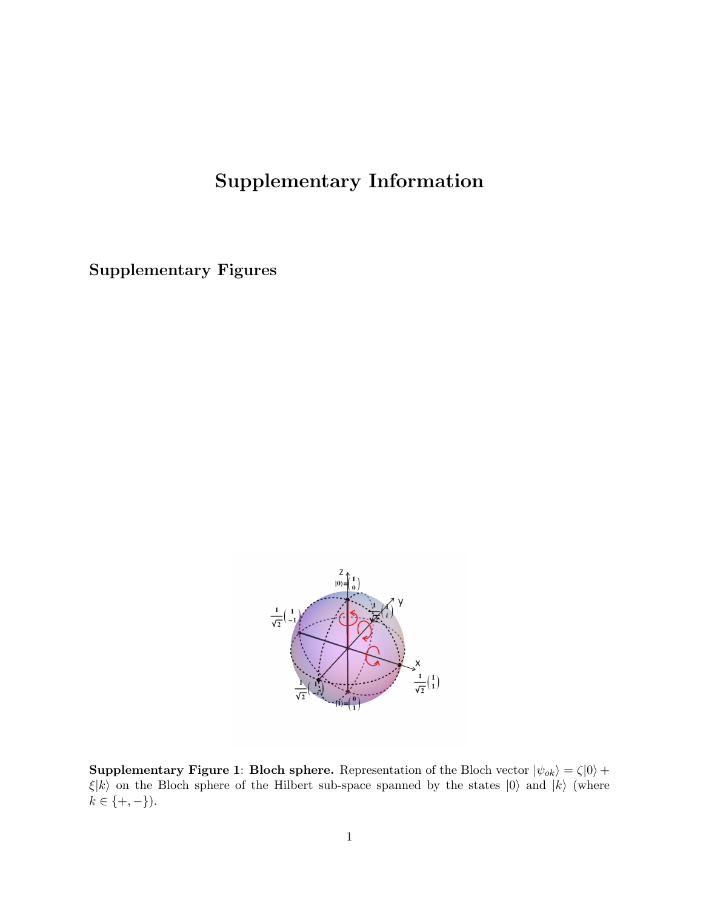# Supplementary Information

Supplementary Figures



**Supplementary Figure 1: Bloch sphere.** Representation of the Bloch vector  $|\psi_{ok}\rangle = \zeta |0\rangle +$  $\xi|k\rangle$  on the Bloch sphere of the Hilbert sub-space spanned by the states<br>  $|0\rangle$  and  $|k\rangle$  (where  $k\in\{+,-\}).$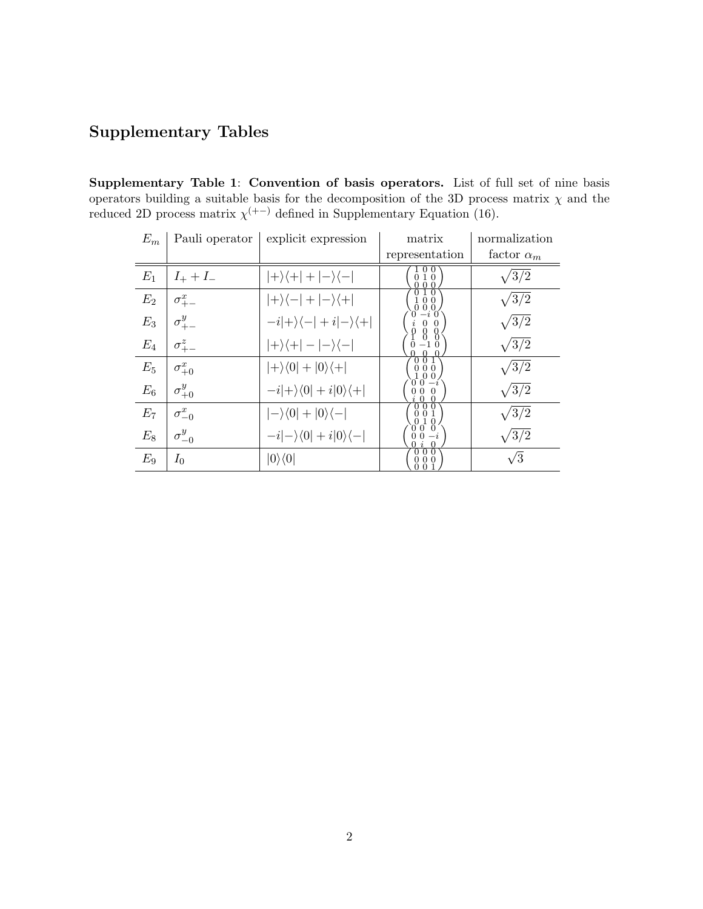## Supplementary Tables

Supplementary Table 1: Convention of basis operators. List of full set of nine basis operators building a suitable basis for the decomposition of the 3D process matrix  $\chi$  and the reduced 2D process matrix  $\chi^{(+)}$  defined in Supplementary Equation (16).

| $E_m$ | Pauli operator  | explicit expression                          | matrix                | normalization     |
|-------|-----------------|----------------------------------------------|-----------------------|-------------------|
|       |                 |                                              | representation        | factor $\alpha_m$ |
| $E_1$ | $I_{+}+I_{-}$   | $ +\rangle\langle+ + -\rangle\langle- $      | 0<br>10<br>0 Q        | $\sqrt{3/2}$      |
| $E_2$ | $\sigma_{+-}^x$ | $ +\rangle\langle- + -\rangle\langle+ $      | 0 Q                   | $\sqrt{3/2}$      |
| $E_3$ | $\sigma_{+-}^y$ | $-i +\rangle\langle- +i -\rangle\langle+ $   | $\Omega$<br>$\theta$  | $\sqrt{3/2}$      |
| $E_4$ | $\sigma_{+-}^z$ | $ +\rangle\langle+ - -\rangle\langle- $      |                       | $\sqrt{3/2}$      |
| $E_5$ | $\sigma^x_{+0}$ | $ +\rangle\langle 0 + 0\rangle\langle + $    | 001<br>0 <sub>0</sub> | $\sqrt{3/2}$      |
| $E_6$ | $\sigma^y_{+0}$ | $-i +\rangle\langle 0 +i 0\rangle\langle + $ | $\Omega$              | $\sqrt{3/2}$      |
| $E_7$ | $\sigma^x_{-0}$ | $ -\rangle\langle 0 + 0\rangle\langle - $    | 00<br>1<br>$\Omega$   | $\sqrt{3/2}$      |
| $E_8$ | $\sigma_{-0}^y$ | $-i -\rangle\langle 0 +i 0\rangle\langle - $ | $-i$                  | $\sqrt{3/2}$      |
| $E_9$ | $I_0$           | $ 0\rangle\langle 0 $                        | 0 0 0<br>000          | $\sqrt{3}$        |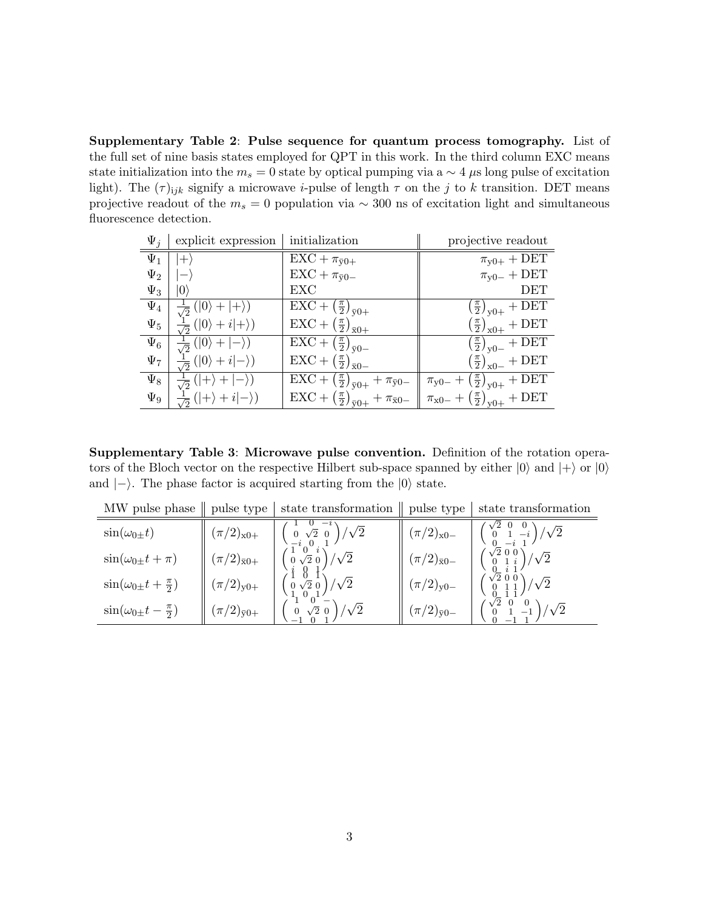Supplementary Table 2: Pulse sequence for quantum process tomography. List of the full set of nine basis states employed for QPT in this work. In the third column EXC means state initialization into the  $m_s = 0$  state by optical pumping via a  $\sim 4 \mu s$  long pulse of excitation light). The  $(\tau)_{ijk}$  signify a microwave *i*-pulse of length  $\tau$  on the j to k transition. DET means projective readout of the  $m_s = 0$  population via ~ 300 ns of excitation light and simultaneous fluorescence detection.

| $\Psi_i$ | explicit expression                          | initialization                                                                              | projective readout                                          |
|----------|----------------------------------------------|---------------------------------------------------------------------------------------------|-------------------------------------------------------------|
| $\Psi_1$ |                                              | $\overline{\text{EXC}} + \pi_{\bar{y}0+}$                                                   | $\pi_{y0+} + \overline{\text{DET}}$                         |
| $\Psi_2$ |                                              | $\text{EXC} + \pi_{\bar{y}0-}$                                                              | $\pi_{y0-} + \text{DET}$                                    |
| $\Psi_3$ | $ 0\rangle$                                  | EXC                                                                                         | DET                                                         |
| $\Psi_4$ | $( 0\rangle +  +\rangle)$                    | $\overline{\text{EXC} + \left(\frac{\pi}{2}\right)}_{\bar{y}0+}$                            | $\left(\frac{\pi}{2}\right)_{y0+} + \text{DET}$             |
| $\Psi_5$ | $\frac{1}{\sqrt{2}}( 0\rangle + i +\rangle)$ | $\text{EXC} + \left(\frac{\pi}{2}\right)_{\bar{\mathrm{x}}0+}$                              | $\left(\frac{\pi}{2}\right)_{x0+} + \text{DET}$             |
| $\Psi_6$ | $\frac{1}{\sqrt{2}}( 0\rangle +  -\rangle)$  | $\overline{\text{EXC} + \left(\frac{\pi}{2}\right)}_{\bar{y}0-}$                            | $\left(\frac{\pi}{2}\right)_{\text{y0}-} + \text{DET}$      |
| $\Psi_7$ | $( 0\rangle + i -\rangle)$                   | $\text{EXC} + \left(\frac{\pi}{2}\right)_{\bar{x}0-}$                                       | $\left(\frac{\pi}{2}\right)_{\rm x0-} + {\rm DET}$          |
| $\Psi_8$ | $( +\rangle +$<br>$\frac{1}{\sqrt{2}}$       | $\overline{\text{EXC} + (\frac{\pi}{2})}_{\bar{y}0+} + \pi_{\bar{y}0-}$                     | $\pi_{y0-} + \left(\frac{\pi}{2}\right)_{y0+} + \text{DET}$ |
| $\Psi_9$ | $\frac{1}{\sqrt{2}}( +\rangle+i -\rangle)$   | $\text{EXC}+\left(\frac{\pi}{2}\right)_{\bar{y}0+}+\frac{\pi_{\bar{x}0-}}{\pi_{\bar{x}0-}}$ | $\pi_{x0-} + (\frac{\pi}{2})_{y0+} + \text{DET}$            |

Supplementary Table 3: Microwave pulse convention. Definition of the rotation operators of the Bloch vector on the respective Hilbert sub-space spanned by either  $|0\rangle$  and  $|+\rangle$  or  $|0\rangle$ and  $|-\rangle$ . The phase factor is acquired starting from the  $|0\rangle$  state.

| MW pulse phase                         | pulse type            | state transformation                                                                            | pulse type            | state transformation                                                                         |
|----------------------------------------|-----------------------|-------------------------------------------------------------------------------------------------|-----------------------|----------------------------------------------------------------------------------------------|
| $\sin(\omega_{0\pm}t)$                 | $(\pi/2)_{x0+}$       | $\begin{pmatrix} 0 & \sqrt{2} & 0 \\ -i & 0 & 1 \end{pmatrix} / \sqrt{2}$                       | $(\pi/2)_{x0-}$       | $\begin{pmatrix} \sqrt{2} & 0 & 0 \\ 0 & 1 & -i \end{pmatrix} / \sqrt{2}$                    |
| $\sin(\omega_0 \pm t + \pi)$           | $(\pi/2)_{\bar{x}0+}$ | $0\sqrt{2}0$                                                                                    | $(\pi/2)_{\bar{x}0-}$ | $\left(\begin{smallmatrix}\sqrt{2} & 0 & 0 \\ 0 & 1 & i \end{smallmatrix}\right) / \sqrt{2}$ |
| $\sin(\omega_0 \pm t + \frac{\pi}{2})$ | $(\pi/2)_{y0+}$       | $/\sqrt{2}$<br>$\left( \begin{array}{cc} 1 & 0 & \sqrt{2} & 0 \\ 0 & 1 & 0 \end{array} \right)$ | $(\pi/2)_{y0-}$       | $\binom{\sqrt{2} & 0 & 0}{0 & 1 & 1} / \sqrt{2}$                                             |
| $\sin(\omega_0 \pm t - \frac{\pi}{2})$ | $(\pi/2)_{\bar{y}0+}$ | / $\sqrt{2}$<br>$0\sqrt{2}0$                                                                    | $(\pi/2)_{\bar{y}0-}$ | $1/\sqrt{2}$                                                                                 |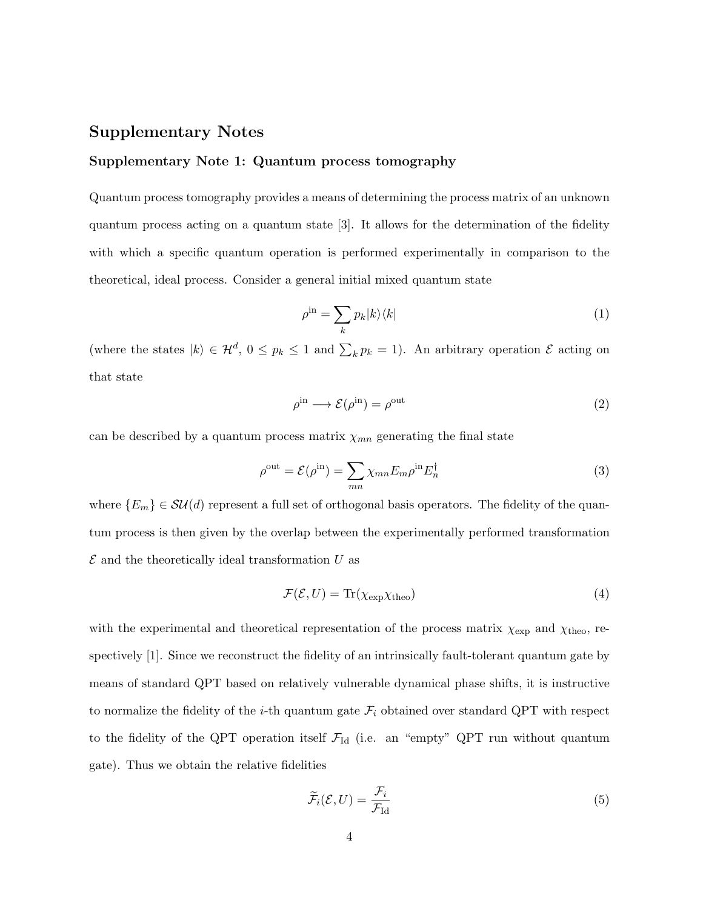## Supplementary Notes

#### Supplementary Note 1: Quantum process tomography

Quantum process tomography provides a means of determining the process matrix of an unknown quantum process acting on a quantum state [3]. It allows for the determination of the fidelity with which a specific quantum operation is performed experimentally in comparison to the theoretical, ideal process. Consider a general initial mixed quantum state

$$
\rho^{\text{in}} = \sum_{k} p_k |k\rangle\langle k| \tag{1}
$$

(where the states  $|k\rangle \in \mathcal{H}^d$ ,  $0 \leq p_k \leq 1$  and  $\sum_k p_k = 1$ ). An arbitrary operation  $\mathcal E$  acting on that state

$$
\rho^{\text{in}} \longrightarrow \mathcal{E}(\rho^{\text{in}}) = \rho^{\text{out}} \tag{2}
$$

can be described by a quantum process matrix  $\chi_{mn}$  generating the final state

$$
\rho^{\text{out}} = \mathcal{E}(\rho^{\text{in}}) = \sum_{mn} \chi_{mn} E_m \rho^{\text{in}} E_n^{\dagger}
$$
\n(3)

where  $\{E_m\} \in \mathcal{SU}(d)$  represent a full set of orthogonal basis operators. The fidelity of the quantum process is then given by the overlap between the experimentally performed transformation  $\mathcal E$  and the theoretically ideal transformation U as

$$
\mathcal{F}(\mathcal{E}, U) = \text{Tr}(\chi_{\text{exp}} \chi_{\text{theo}}) \tag{4}
$$

with the experimental and theoretical representation of the process matrix  $\chi_{\rm exp}$  and  $\chi_{\rm theo}$ , respectively [1]. Since we reconstruct the fidelity of an intrinsically fault-tolerant quantum gate by means of standard QPT based on relatively vulnerable dynamical phase shifts, it is instructive to normalize the fidelity of the *i*-th quantum gate  $\mathcal{F}_i$  obtained over standard QPT with respect to the fidelity of the QPT operation itself  $\mathcal{F}_{Id}$  (i.e. an "empty" QPT run without quantum gate). Thus we obtain the relative fidelities

$$
\widetilde{\mathcal{F}}_i(\mathcal{E}, U) = \frac{\mathcal{F}_i}{\mathcal{F}_{\text{Id}}} \tag{5}
$$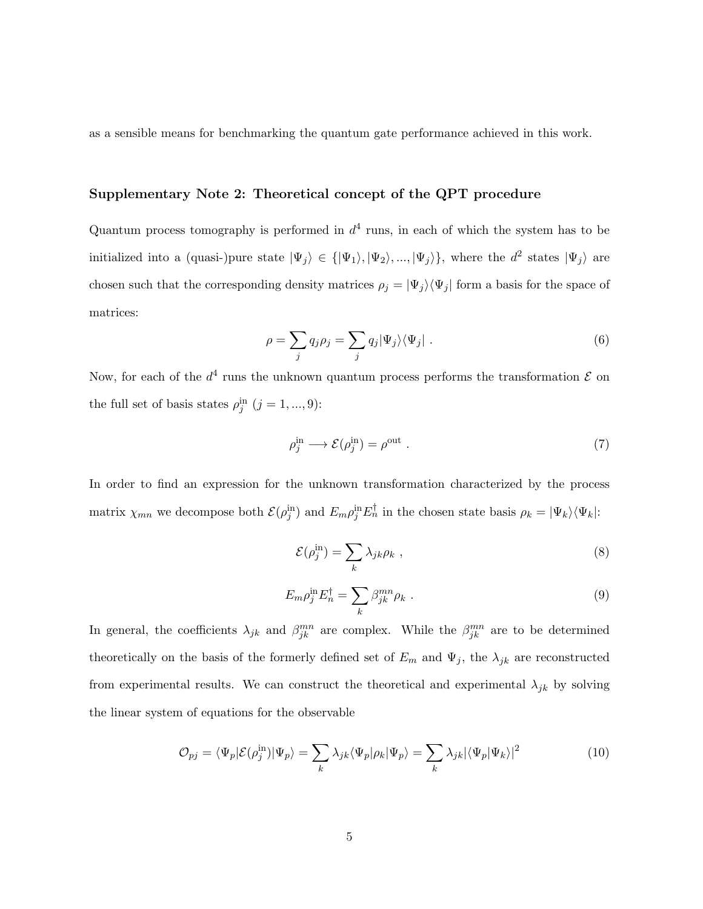as a sensible means for benchmarking the quantum gate performance achieved in this work.

#### Supplementary Note 2: Theoretical concept of the QPT procedure

Quantum process tomography is performed in  $d^4$  runs, in each of which the system has to be initialized into a (quasi-)pure state  $|\Psi_j\rangle \in \{|\Psi_1\rangle, |\Psi_2\rangle, ..., |\Psi_j\rangle\}$ , where the  $d^2$  states  $|\Psi_j\rangle$  are chosen such that the corresponding density matrices  $\rho_j = |\Psi_j\rangle\langle\Psi_j|$  form a basis for the space of matrices:

$$
\rho = \sum_{j} q_{j} \rho_{j} = \sum_{j} q_{j} |\Psi_{j}\rangle\langle\Psi_{j}|.
$$
\n(6)

Now, for each of the  $d^4$  runs the unknown quantum process performs the transformation  $\mathcal E$  on the full set of basis states  $\rho_j^{\text{in}}$   $(j = 1, ..., 9)$ :

$$
\rho_j^{\text{in}} \longrightarrow \mathcal{E}(\rho_j^{\text{in}}) = \rho^{\text{out}} \tag{7}
$$

In order to find an expression for the unknown transformation characterized by the process matrix  $\chi_{mn}$  we decompose both  $\mathcal{E}(\rho_j^{\text{in}})$  and  $E_m \rho_j^{\text{in}} E_n^{\dagger}$  in the chosen state basis  $\rho_k = |\Psi_k\rangle \langle \Psi_k|$ :

$$
\mathcal{E}(\rho_j^{\text{in}}) = \sum_k \lambda_{jk} \rho_k \tag{8}
$$

$$
E_m \rho_j^{\text{in}} E_n^{\dagger} = \sum_k \beta_{jk}^{mn} \rho_k . \tag{9}
$$

In general, the coefficients  $\lambda_{jk}$  and  $\beta_{jk}^{mn}$  are complex. While the  $\beta_{jk}^{mn}$  are to be determined theoretically on the basis of the formerly defined set of  $E_m$  and  $\Psi_j$ , the  $\lambda_{jk}$  are reconstructed from experimental results. We can construct the theoretical and experimental  $\lambda_{jk}$  by solving the linear system of equations for the observable

$$
\mathcal{O}_{pj} = \langle \Psi_p | \mathcal{E}(\rho_j^{\text{in}}) | \Psi_p \rangle = \sum_k \lambda_{jk} \langle \Psi_p | \rho_k | \Psi_p \rangle = \sum_k \lambda_{jk} | \langle \Psi_p | \Psi_k \rangle |^2 \tag{10}
$$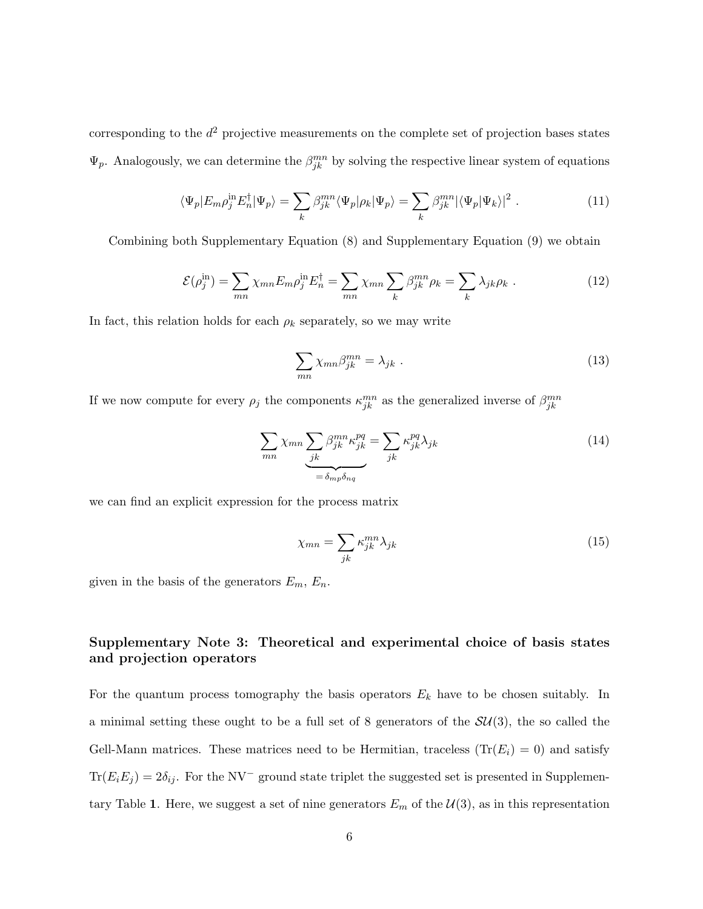corresponding to the  $d^2$  projective measurements on the complete set of projection bases states  $\Psi_p$ . Analogously, we can determine the  $\beta_{jk}^{mn}$  by solving the respective linear system of equations

$$
\langle \Psi_p | E_m \rho_j^{\text{in}} E_n^{\dagger} | \Psi_p \rangle = \sum_k \beta_{jk}^{mn} \langle \Psi_p | \rho_k | \Psi_p \rangle = \sum_k \beta_{jk}^{mn} | \langle \Psi_p | \Psi_k \rangle |^2 \ . \tag{11}
$$

Combining both Supplementary Equation (8) and Supplementary Equation (9) we obtain

$$
\mathcal{E}(\rho_j^{\text{in}}) = \sum_{mn} \chi_{mn} E_m \rho_j^{\text{in}} E_n^{\dagger} = \sum_{mn} \chi_{mn} \sum_k \beta_{jk}^{mn} \rho_k = \sum_k \lambda_{jk} \rho_k \tag{12}
$$

In fact, this relation holds for each  $\rho_k$  separately, so we may write

$$
\sum_{mn} \chi_{mn} \beta_{jk}^{mn} = \lambda_{jk} \tag{13}
$$

If we now compute for every  $\rho_j$  the components  $\kappa_{jk}^{mn}$  as the generalized inverse of  $\beta_{jk}^{mn}$ 

$$
\sum_{mn} \chi_{mn} \underbrace{\sum_{jk} \beta_{jk}^{mn} \kappa_{jk}^{pq}}_{=\delta_{mp} \delta_{nq}} = \sum_{jk} \kappa_{jk}^{pq} \lambda_{jk}
$$
\n(14)

we can find an explicit expression for the process matrix

$$
\chi_{mn} = \sum_{jk} \kappa_{jk}^{mn} \lambda_{jk} \tag{15}
$$

given in the basis of the generators  $E_m$ ,  $E_n$ .

## Supplementary Note 3: Theoretical and experimental choice of basis states and projection operators

For the quantum process tomography the basis operators  $E_k$  have to be chosen suitably. In a minimal setting these ought to be a full set of 8 generators of the  $SU(3)$ , the so called the Gell-Mann matrices. These matrices need to be Hermitian, traceless  $(\text{Tr}(E_i) = 0)$  and satisfy  $Tr(E_iE_j) = 2\delta_{ij}$ . For the NV<sup>-</sup> ground state triplet the suggested set is presented in Supplementary Table 1. Here, we suggest a set of nine generators  $E_m$  of the  $\mathcal{U}(3)$ , as in this representation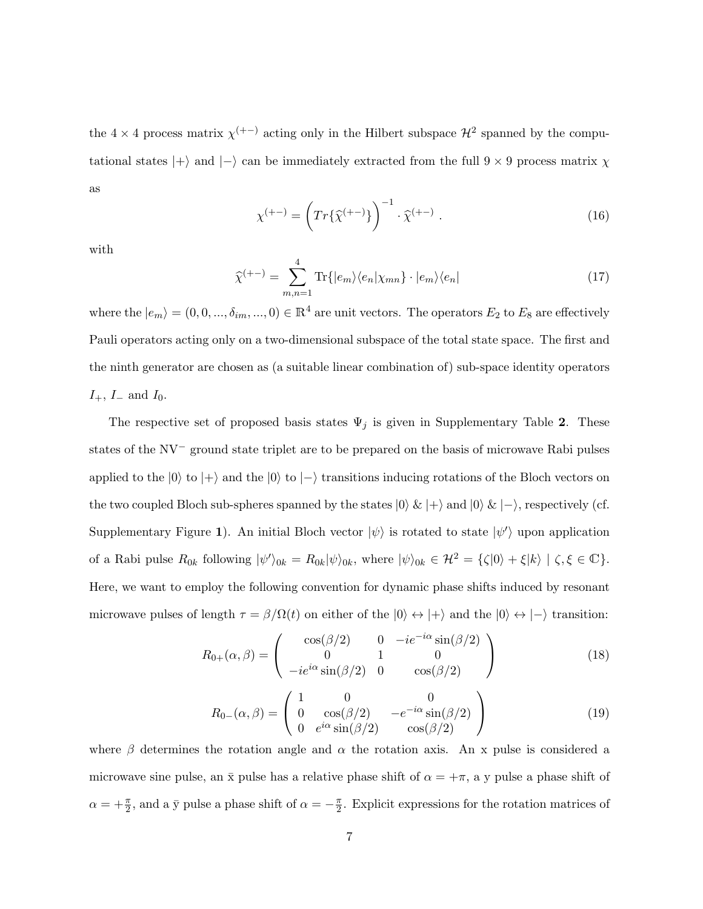the 4  $\times$  4 process matrix  $\chi$ <sup>(+-)</sup> acting only in the Hilbert subspace  $\mathcal{H}^2$  spanned by the computational states  $|+\rangle$  and  $|-\rangle$  can be immediately extracted from the full 9 × 9 process matrix  $\chi$ as

$$
\chi^{(+-)} = \left( Tr \{ \widehat{\chi}^{(+-)} \} \right)^{-1} \cdot \widehat{\chi}^{(+-)} \ . \tag{16}
$$

with

$$
\widehat{\chi}^{(+-)} = \sum_{m,n=1}^{4} \text{Tr}\{|e_m\rangle\langle e_n|\chi_{mn}\} \cdot |e_m\rangle\langle e_n| \tag{17}
$$

where the  $|e_m\rangle = (0, 0, ..., \delta_{im}, ..., 0) \in \mathbb{R}^4$  are unit vectors. The operators  $E_2$  to  $E_8$  are effectively Pauli operators acting only on a two-dimensional subspace of the total state space. The first and the ninth generator are chosen as (a suitable linear combination of) sub-space identity operators  $I_+$ ,  $I_-$  and  $I_0$ .

The respective set of proposed basis states  $\Psi_j$  is given in Supplementary Table 2. These states of the NV<sup>−</sup> ground state triplet are to be prepared on the basis of microwave Rabi pulses applied to the  $|0\rangle$  to  $|+\rangle$  and the  $|0\rangle$  to  $|-\rangle$  transitions inducing rotations of the Bloch vectors on the two coupled Bloch sub-spheres spanned by the states  $|0\rangle \& |+\rangle$  and  $|0\rangle \& |-\rangle$ , respectively (cf. Supplementary Figure 1). An initial Bloch vector  $|\psi\rangle$  is rotated to state  $|\psi'\rangle$  upon application of a Rabi pulse  $R_{0k}$  following  $|\psi'\rangle_{0k} = R_{0k}|\psi\rangle_{0k}$ , where  $|\psi\rangle_{0k} \in \mathcal{H}^2 = {\{\zeta|0\}} + {\xi|k}\rangle \mid \zeta, \xi \in \mathbb{C}$ . Here, we want to employ the following convention for dynamic phase shifts induced by resonant microwave pulses of length  $\tau = \beta/\Omega(t)$  on either of the  $|0\rangle \leftrightarrow |+\rangle$  and the  $|0\rangle \leftrightarrow |-\rangle$  transition:

$$
R_{0+}(\alpha,\beta) = \begin{pmatrix} \cos(\beta/2) & 0 & -ie^{-i\alpha}\sin(\beta/2) \\ 0 & 1 & 0 \\ -ie^{i\alpha}\sin(\beta/2) & 0 & \cos(\beta/2) \end{pmatrix}
$$
 (18)

$$
R_{0-}(\alpha,\beta) = \begin{pmatrix} 1 & 0 & 0 \\ 0 & \cos(\beta/2) & -e^{-i\alpha}\sin(\beta/2) \\ 0 & e^{i\alpha}\sin(\beta/2) & \cos(\beta/2) \end{pmatrix}
$$
(19)

where  $\beta$  determines the rotation angle and  $\alpha$  the rotation axis. An x pulse is considered a microwave sine pulse, an  $\bar{x}$  pulse has a relative phase shift of  $\alpha = +\pi$ , a y pulse a phase shift of  $\alpha = +\frac{\pi}{2}$ , and a  $\bar{y}$  pulse a phase shift of  $\alpha = -\frac{\pi}{2}$  $\frac{\pi}{2}$ . Explicit expressions for the rotation matrices of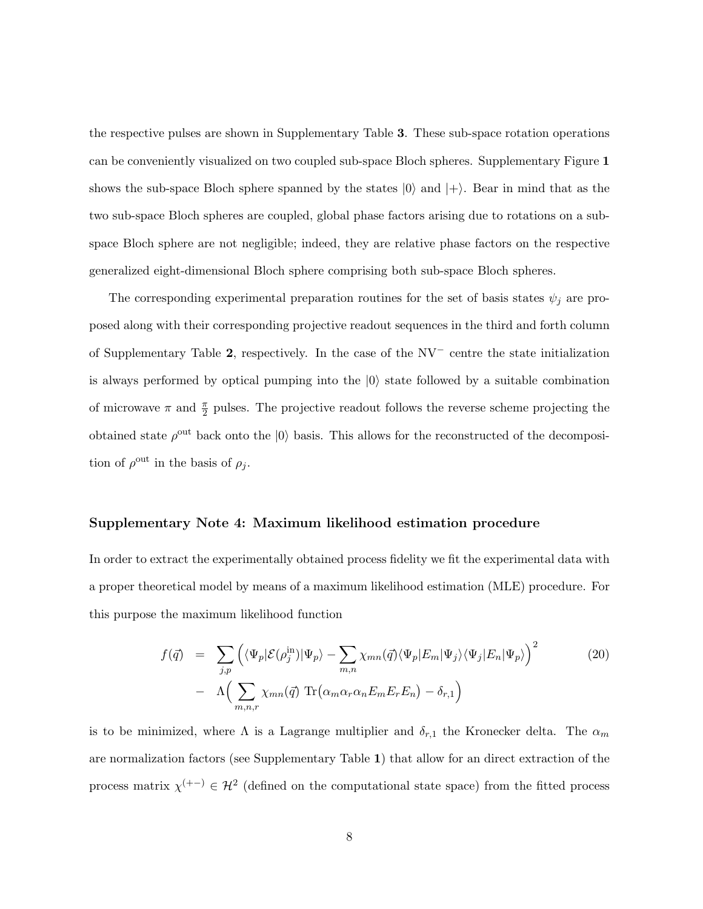the respective pulses are shown in Supplementary Table 3. These sub-space rotation operations can be conveniently visualized on two coupled sub-space Bloch spheres. Supplementary Figure 1 shows the sub-space Bloch sphere spanned by the states  $|0\rangle$  and  $|+\rangle$ . Bear in mind that as the two sub-space Bloch spheres are coupled, global phase factors arising due to rotations on a subspace Bloch sphere are not negligible; indeed, they are relative phase factors on the respective generalized eight-dimensional Bloch sphere comprising both sub-space Bloch spheres.

The corresponding experimental preparation routines for the set of basis states  $\psi_j$  are proposed along with their corresponding projective readout sequences in the third and forth column of Supplementary Table 2, respectively. In the case of the NV<sup>−</sup> centre the state initialization is always performed by optical pumping into the  $|0\rangle$  state followed by a suitable combination of microwave  $\pi$  and  $\frac{\pi}{2}$  pulses. The projective readout follows the reverse scheme projecting the obtained state  $\rho^{\text{out}}$  back onto the  $|0\rangle$  basis. This allows for the reconstructed of the decomposition of  $\rho^{\text{out}}$  in the basis of  $\rho_j$ .

#### Supplementary Note 4: Maximum likelihood estimation procedure

In order to extract the experimentally obtained process fidelity we fit the experimental data with a proper theoretical model by means of a maximum likelihood estimation (MLE) procedure. For this purpose the maximum likelihood function

$$
f(\vec{q}) = \sum_{j,p} \left( \langle \Psi_p | \mathcal{E}(\rho_j^{\text{in}}) | \Psi_p \rangle - \sum_{m,n} \chi_{mn}(\vec{q}) \langle \Psi_p | E_m | \Psi_j \rangle \langle \Psi_j | E_n | \Psi_p \rangle \right)^2
$$
\n
$$
- \Lambda \left( \sum_{m,n,r} \chi_{mn}(\vec{q}) \operatorname{Tr} \left( \alpha_m \alpha_r \alpha_n E_m E_r E_n \right) - \delta_{r,1} \right)
$$
\n(20)

is to be minimized, where  $\Lambda$  is a Lagrange multiplier and  $\delta_{r,1}$  the Kronecker delta. The  $\alpha_m$ are normalization factors (see Supplementary Table 1) that allow for an direct extraction of the process matrix  $\chi^{(+-)} \in \mathcal{H}^2$  (defined on the computational state space) from the fitted process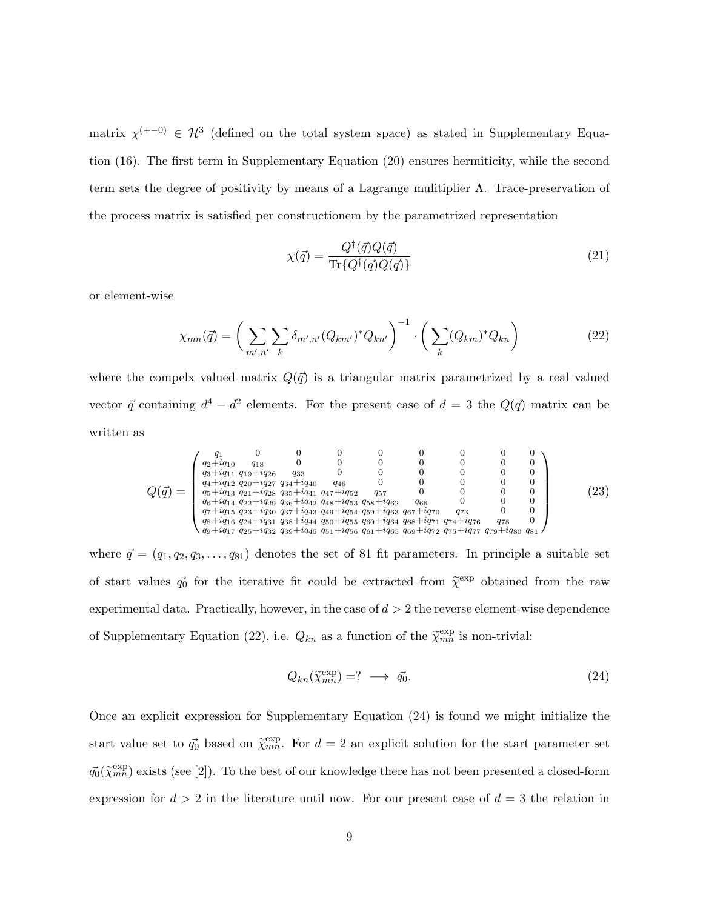matrix  $\chi^{(+-0)} \in \mathcal{H}^3$  (defined on the total system space) as stated in Supplementary Equation (16). The first term in Supplementary Equation (20) ensures hermiticity, while the second term sets the degree of positivity by means of a Lagrange mulitiplier Λ. Trace-preservation of the process matrix is satisfied per constructionem by the parametrized representation

$$
\chi(\vec{q}) = \frac{Q^{\dagger}(\vec{q})Q(\vec{q})}{\text{Tr}\{Q^{\dagger}(\vec{q})Q(\vec{q})\}}\tag{21}
$$

or element-wise

$$
\chi_{mn}(\vec{q}) = \left(\sum_{m',n'} \sum_{k} \delta_{m',n'} (Q_{km'})^* Q_{kn'}\right)^{-1} \cdot \left(\sum_{k} (Q_{km})^* Q_{kn}\right)
$$
(22)

where the compelx valued matrix  $Q(\vec{q})$  is a triangular matrix parametrized by a real valued vector  $\vec{q}$  containing  $d^4 - d^2$  elements. For the present case of  $d = 3$  the  $Q(\vec{q})$  matrix can be written as

$$
Q(\vec{q}) = \begin{pmatrix} q_1 & 0 & 0 & 0 & 0 & 0 & 0 & 0 & 0 & 0 \\ q_2 + iq_{10} & q_{18} & 0 & 0 & 0 & 0 & 0 & 0 & 0 \\ q_3 + iq_{11} & q_{19} + iq_{26} & q_{33} & 0 & 0 & 0 & 0 & 0 & 0 \\ q_4 + iq_{12} & q_{20} + iq_{27} & q_{34} + iq_{40} & q_{46} & 0 & 0 & 0 & 0 & 0 \\ q_5 + iq_{13} & q_{21} + iq_{28} & q_{35} + iq_{41} & q_{47} + iq_{52} & q_{57} & 0 & 0 & 0 & 0 \\ q_6 + iq_{14} & q_{22} + iq_{29} & q_{36} + iq_{442} & q_{48} + iq_{53} & q_{58} + iq_{62} & q_{66} & 0 & 0 & 0 \\ q_7 + iq_{15} & q_{23} + iq_{30} & q_{37} + iq_{44} & q_{49} + iq_{54} & q_{59} + iq_{63} & q_{67} + iq_{70} & q_{73} & 0 & 0 \\ q_8 + iq_{16} & q_{24} + iq_{31} & q_{38} + iq_{44} & q_{50} + iq_{55} & q_{60} + iq_{64} & q_{68} + iq_{71} & q_{74} + iq_{76} & q_{78} & 0 \\ q_9 + iq_{17} & q_{25} + iq_{32} & q_{39} + iq_{45} & q_{51} + iq_{56} & q_{61} + iq_{65} & q_{69} + iq_{72} & q_{75} + iq_{70} & q_{74} \end{pmatrix} \tag{23}
$$

where  $\vec{q} = (q_1, q_2, q_3, \dots, q_{81})$  denotes the set of 81 fit parameters. In principle a suitable set of start values  $\vec{q}_0$  for the iterative fit could be extracted from  $\tilde{\chi}^{\text{exp}}$  obtained from the raw experimental data. Practically, however, in the case of  $d > 2$  the reverse element-wise dependence of Supplementary Equation (22), i.e.  $Q_{kn}$  as a function of the  $\tilde{\chi}_{mn}^{\text{exp}}$  is non-trivial:

$$
Q_{kn}(\tilde{\chi}_{mn}^{\text{exp}}) = ? \longrightarrow \vec{q_0}.
$$
\n(24)

Once an explicit expression for Supplementary Equation (24) is found we might initialize the start value set to  $\vec{q_0}$  based on  $\tilde{\chi}_{mn}^{exp}$ . For  $d=2$  an explicit solution for the start parameter set  $\vec{q_0}(\tilde{\chi}_{mn}^{\text{exp}})$  exists (see [2]). To the best of our knowledge there has not been presented a closed-form expression for  $d > 2$  in the literature until now. For our present case of  $d = 3$  the relation in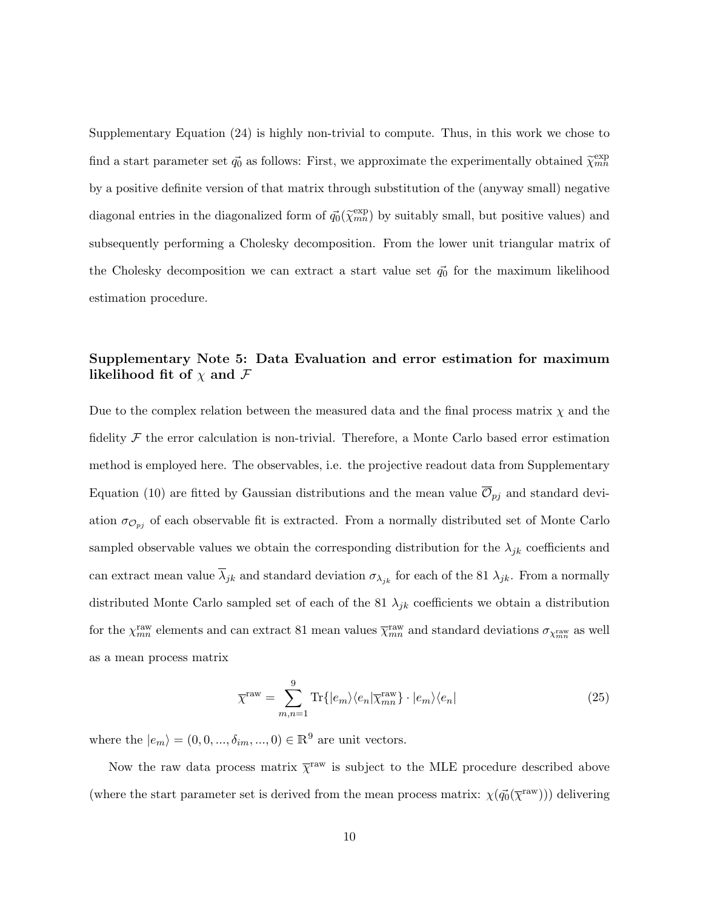Supplementary Equation (24) is highly non-trivial to compute. Thus, in this work we chose to find a start parameter set  $\vec{q_0}$  as follows: First, we approximate the experimentally obtained  $\tilde{\chi}_{mn}^{\text{exp}}$ by a positive definite version of that matrix through substitution of the (anyway small) negative diagonal entries in the diagonalized form of  $\vec{q_0}(\tilde{\chi}_{mn}^{exp})$  by suitably small, but positive values) and subsequently performing a Cholesky decomposition. From the lower unit triangular matrix of the Cholesky decomposition we can extract a start value set  $\vec{q}_0$  for the maximum likelihood estimation procedure.

### Supplementary Note 5: Data Evaluation and error estimation for maximum likelihood fit of  $\chi$  and  $\mathcal F$

Due to the complex relation between the measured data and the final process matrix  $\chi$  and the fidelity  $\mathcal F$  the error calculation is non-trivial. Therefore, a Monte Carlo based error estimation method is employed here. The observables, i.e. the projective readout data from Supplementary Equation (10) are fitted by Gaussian distributions and the mean value  $\mathcal{O}_{pj}$  and standard deviation  $\sigma_{\mathcal{O}_{pj}}$  of each observable fit is extracted. From a normally distributed set of Monte Carlo sampled observable values we obtain the corresponding distribution for the  $\lambda_{jk}$  coefficients and can extract mean value  $\overline{\lambda}_{jk}$  and standard deviation  $\sigma_{\lambda_{jk}}$  for each of the 81  $\lambda_{jk}$ . From a normally distributed Monte Carlo sampled set of each of the 81  $\lambda_{jk}$  coefficients we obtain a distribution for the  $\chi_{mn}^{\text{raw}}$  elements and can extract 81 mean values  $\overline{\chi}_{mn}^{\text{raw}}$  and standard deviations  $\sigma_{\chi_{mn}^{\text{raw}}}$  as well as a mean process matrix

$$
\overline{\chi}^{\text{raw}} = \sum_{m,n=1}^{9} \text{Tr}\{|e_m\rangle\langle e_n|\overline{\chi}_{mn}^{\text{raw}}\}\cdot |e_m\rangle\langle e_n| \tag{25}
$$

where the  $|e_m\rangle = (0, 0, ..., \delta_{im}, ..., 0) \in \mathbb{R}^9$  are unit vectors.

Now the raw data process matrix  $\bar{\chi}^{\text{raw}}$  is subject to the MLE procedure described above (where the start parameter set is derived from the mean process matrix:  $\chi(\vec{q_0}(\bar{\chi}^{\text{raw}}))$ ) delivering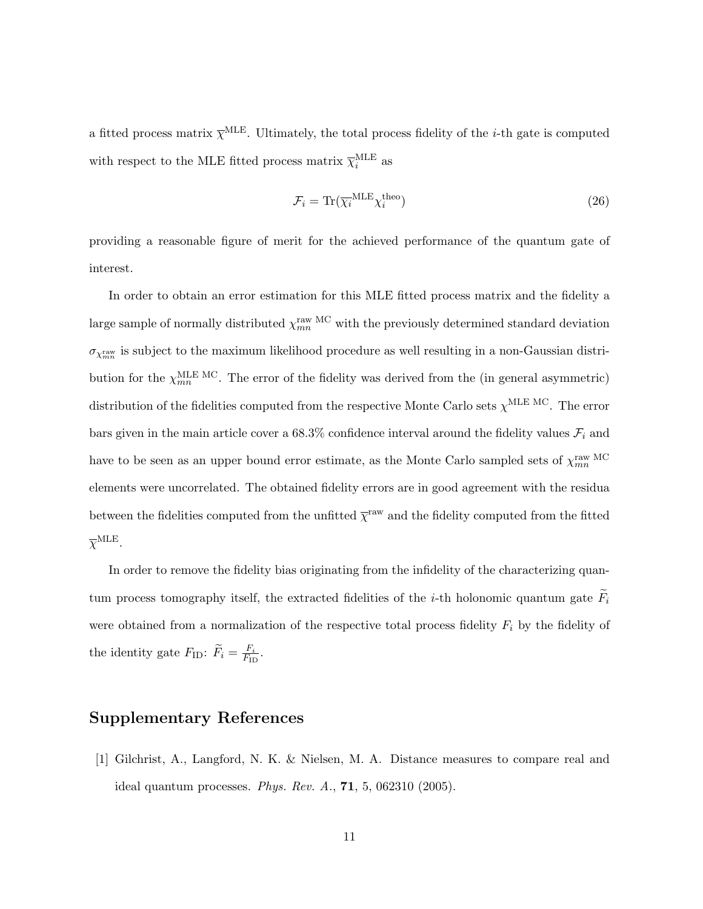a fitted process matrix  $\bar{\chi}^{\text{MLE}}$ . Ultimately, the total process fidelity of the *i*-th gate is computed with respect to the MLE fitted process matrix  $\overline{\chi}_{i}^{\text{MLE}}$  as

$$
\mathcal{F}_i = \text{Tr}(\overline{\chi_i}^{\text{MLE}} \chi_i^{\text{theo}})
$$
\n(26)

providing a reasonable figure of merit for the achieved performance of the quantum gate of interest.

In order to obtain an error estimation for this MLE fitted process matrix and the fidelity a large sample of normally distributed  $\chi_{mn}^{\rm raw\ MC}$  with the previously determined standard deviation  $\sigma_{\chi_{mn}^{\text{raw}}}$  is subject to the maximum likelihood procedure as well resulting in a non-Gaussian distribution for the  $\chi_{mn}^{\text{MLE MC}}$ . The error of the fidelity was derived from the (in general asymmetric) distribution of the fidelities computed from the respective Monte Carlo sets  $\chi^{\text{MLE MC}}$ . The error bars given in the main article cover a 68.3% confidence interval around the fidelity values  $\mathcal{F}_i$  and have to be seen as an upper bound error estimate, as the Monte Carlo sampled sets of  $\chi_{mn}^{\text{raw MC}}$ elements were uncorrelated. The obtained fidelity errors are in good agreement with the residua between the fidelities computed from the unfitted  $\bar{\chi}^{\text{raw}}$  and the fidelity computed from the fitted  $\overline{\chi}^{\text{MLE}}$ .

In order to remove the fidelity bias originating from the infidelity of the characterizing quantum process tomography itself, the extracted fidelities of the *i*-th holonomic quantum gate  $\widetilde{F}_i$ were obtained from a normalization of the respective total process fidelity  $F_i$  by the fidelity of the identity gate  $F_{\text{ID}}$ :  $\widetilde{F}_i = \frac{F_i}{F_{\text{II}}}$  $\frac{F_i}{F_{\rm ID}}$ .

## Supplementary References

[1] Gilchrist, A., Langford, N. K. & Nielsen, M. A. Distance measures to compare real and ideal quantum processes. Phys. Rev. A., 71, 5, 062310 (2005).